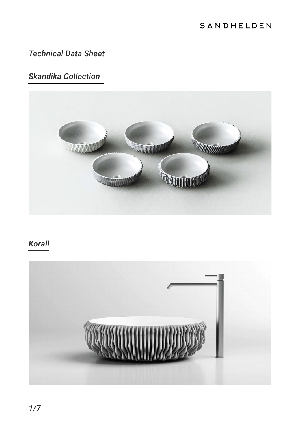# SANDHELDEN

# *Technical Data Sheet*

# *Skandika Collection*



# *Korall*

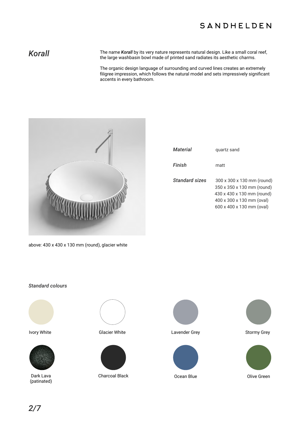## SANDHELDEN

Korall **Korall** The name *Korall* by its very nature represents natural design. Like a small coral reef, the large washbasin bowl made of printed sand radiates its aesthetic charms.

> The organic design language of surrounding and curved lines creates an extremely filigree impression, which follows the natural model and sets impressively significant accents in every bathroom.



|  |  |  | above: 430 x 430 x 130 mm (round), glacier white |  |
|--|--|--|--------------------------------------------------|--|
|  |  |  |                                                  |  |

| Material       | quartz sand                                                                                                                                      |
|----------------|--------------------------------------------------------------------------------------------------------------------------------------------------|
| Finish         | matt                                                                                                                                             |
| Standard sizes | 300 x 300 x 130 mm (round)<br>350 x 350 x 130 mm (round)<br>430 x 430 x 130 mm (round)<br>400 x 300 x 130 mm (oval)<br>600 x 400 x 130 mm (oval) |

### *Standard colours*





Dark Lava (patinated)







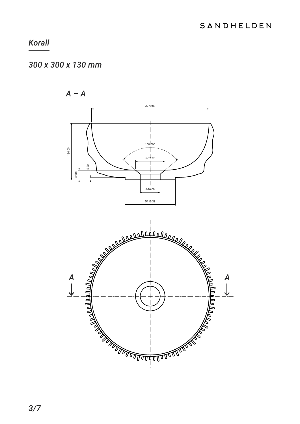# 300 x 300 x 130 mm

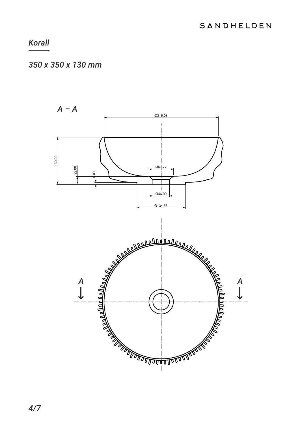# 350 x 350 x 130 mm

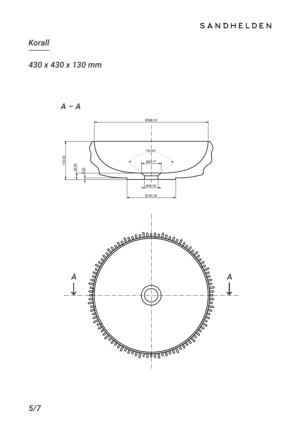# 430 x 430 x 130 mm

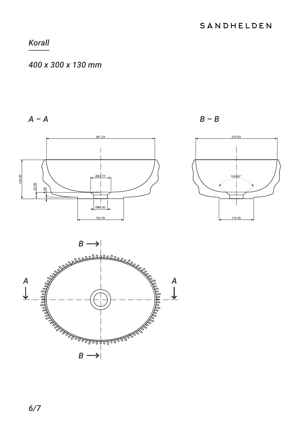### 400 x 300 x 130 mm